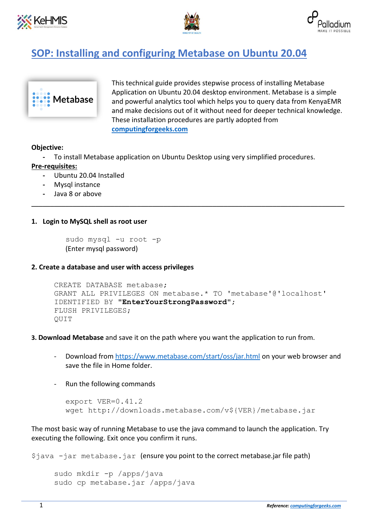





# **SOP: Installing and configuring Metabase on Ubuntu 20.04**



This technical guide provides stepwise process of installing Metabase Application on Ubuntu 20.04 desktop environment. Metabase is a simple and powerful analytics tool which helps you to query data from KenyaEMR and make decisions out of it without need for deeper technical knowledge. These installation procedures are partly adopted from **[computingforgeeks.com](https://computingforgeeks.com/how-to-install-metabase-with-systemd-on-ubuntu/)**

## **Objective:**

**-** To install Metabase application on Ubuntu Desktop using very simplified procedures.

\_\_\_\_\_\_\_\_\_\_\_\_\_\_\_\_\_\_\_\_\_\_\_\_\_\_\_\_\_\_\_\_\_\_\_\_\_\_\_\_\_\_\_\_\_\_\_\_\_\_\_\_\_\_\_\_\_\_\_\_\_\_\_\_\_\_\_\_\_\_\_\_\_\_\_\_\_\_\_\_\_\_\_

# **Pre-requisites:**

- **-** Ubuntu 20.04 Installed
- **-** Mysql instance
- **-** Java 8 or above

# **1. Login to MySQL shell as root user**

sudo mysql -u root -p (Enter mysql password)

## **2. Create a database and user with access privileges**

```
CREATE DATABASE metabase;
GRANT ALL PRIVILEGES ON metabase.* TO 'metabase'@'localhost' 
IDENTIFIED BY "EnterYourStrongPassword";
FLUSH PRIVILEGES;
QUIT
```
## **3. [Download Metabase](http://www.metabase.com/start/jar.html)** and save it on the path where you want the application to run from.

- Download from<https://www.metabase.com/start/oss/jar.html> on your web browser and save the file in Home folder.
- Run the following commands

```
export VER=0.41.2
wget http://downloads.metabase.com/v${VER}/metabase.jar
```
The most basic way of running Metabase to use the java command to launch the application. Try executing the following. Exit once you confirm it runs.

\$java -jar metabase.jar (ensure you point to the correct metabase.jar file path)

```
sudo mkdir -p /apps/java
sudo cp metabase.jar /apps/java
```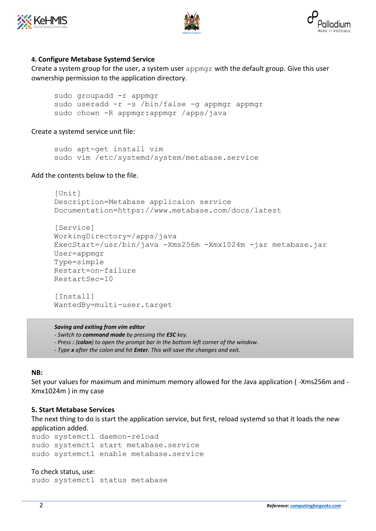





## **4. [Configure](https://computingforgeeks.com/how-to-run-java-jar-application-with-systemd-on-linux/) Metabase Systemd Service**

Create a system group for the user, a system user  $appmqr$  with the default group. Give this user ownership permission to the application directory.

sudo groupadd -r appmgr sudo useradd -r -s /bin/false -g appmgr appmgr sudo chown -R appmgr:appmgr /apps/java

Create a systemd service unit file:

sudo apt-get install vim sudo vim /etc/systemd/system/metabase.service

## Add the contents below to the file.

```
[Unit]
Description=Metabase applicaion service
Documentation=https://www.metabase.com/docs/latest
```

```
[Service]
WorkingDirectory=/apps/java
ExecStart=/usr/bin/java -Xms256m -Xmx1024m -jar metabase.jar
User=appmgr
Type=simple
Restart=on-failure
RestartSec=10
[Install]
WantedBy=multi-user.target
```
*Saving and exiting from vim editor*

*- Switch to command mode by pressing the ESC key.*

*- Press : (colon) to open the prompt bar in the bottom left corner of the window.*

*- Type x after the colon and hit Enter. This will save the changes and exit.*

#### **NB:**

Set your values for maximum and minimum memory allowed for the Java application ( -Xms256m and - Xmx1024m ) in my case

#### **5. Start Metabase Services**

The next thing to do is start the application service, but first, reload systemd so that it loads the new application added.

sudo systemctl daemon-reload sudo systemctl start metabase.service sudo systemctl enable metabase.service

#### To check status, use:

sudo systemctl status metabase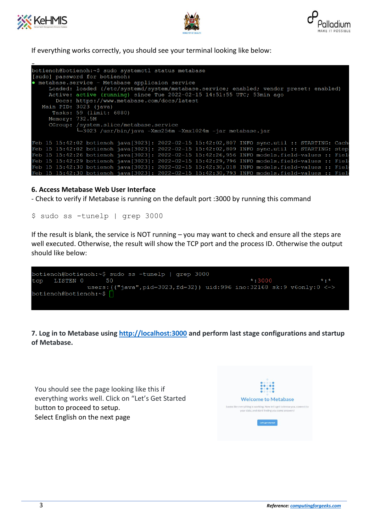





If everything works correctly, you should see your terminal looking like below:

| botienoh@botienoh:~\$ sudo systemctl status metabase                                            |
|-------------------------------------------------------------------------------------------------|
| [sudo] password for botienoh:                                                                   |
| · metabase.service - Metabase applicaion service                                                |
| Loaded: loaded (/etc/systemd/system/metabase.service; enabled; vendor preset: enabled)          |
| Active: active (running) since Tue 2022-02-15 14:51:55 UTC; 53min ago                           |
| Docs: https://www.metabase.com/docs/latest                                                      |
| Main PID: 3023 (java)                                                                           |
| Tasks: 59 (limit: 6880)                                                                         |
| Memory: 732.5M                                                                                  |
| CGroup: /system.slice/metabase.service                                                          |
|                                                                                                 |
| ∟3023 /usr/bin/java -Xms256m -Xmx1024m -jar metabase.jar                                        |
| Feb 15 15:42:02 botienoh java [3023]: 2022-02-15 15:42:02,807 INFO sync.util :: STARTING: Cach  |
|                                                                                                 |
| Feb 15 15:42:02 botienoh java[3023]: 2022-02-15 15:42:02,809 INFO sync.util :: STARTING: step   |
| Feb 15 15:42:26 botienoh java[3023]: 2022-02-15 15:42:26,956 INFO models.field-values :: Field  |
| Feb 15 15:42:29 botienoh java[3023]: 2022-02-15 15:42:29,796 INFO models.field-values :: Fiel   |
| Feb 15 15:42:30 botienoh java [3023]: 2022-02-15 15:42:30,018 INFO models.field-values :: Field |
| Feb 15 15:42:30 botienoh java[3023]: 2022-02-15 15:42:30,793 INFO models.field-values :: Fiel   |

## **6. Access Metabase Web User Interface**

- Check to verify if Metabase is running on the default port :3000 by running this command

\$ sudo ss -tunelp | grep 3000

If the result is blank, the service is NOT running – you may want to check and ensure all the steps are well executed. Otherwise, the result will show the TCP port and the process ID. Otherwise the output should like below:



**7. Log in to Metabase using [http://localhost:3000](http://localhost:3000/) and perform last stage configurations and startup of Metabase.**

You should see the page looking like this if everything works well. Click on "Let's Get Started button to proceed to setup. Select English on the next page